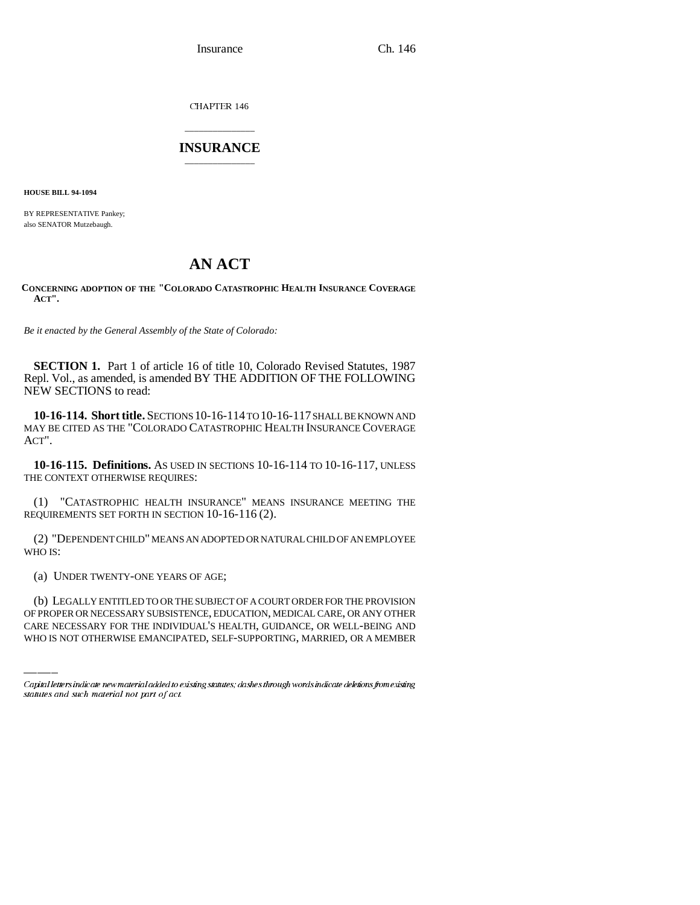Insurance Ch. 146

CHAPTER 146

## \_\_\_\_\_\_\_\_\_\_\_\_\_\_\_ **INSURANCE** \_\_\_\_\_\_\_\_\_\_\_\_\_\_\_

**HOUSE BILL 94-1094**

BY REPRESENTATIVE Pankey; also SENATOR Mutzebaugh.

## **AN ACT**

**CONCERNING ADOPTION OF THE "COLORADO CATASTROPHIC HEALTH INSURANCE COVERAGE ACT".**

*Be it enacted by the General Assembly of the State of Colorado:*

**SECTION 1.** Part 1 of article 16 of title 10, Colorado Revised Statutes, 1987 Repl. Vol., as amended, is amended BY THE ADDITION OF THE FOLLOWING NEW SECTIONS to read:

**10-16-114. Short title.** SECTIONS 10-16-114 TO 10-16-117 SHALL BE KNOWN AND MAY BE CITED AS THE "COLORADO CATASTROPHIC HEALTH INSURANCE COVERAGE ACT".

**10-16-115. Definitions.** AS USED IN SECTIONS 10-16-114 TO 10-16-117, UNLESS THE CONTEXT OTHERWISE REQUIRES:

(1) "CATASTROPHIC HEALTH INSURANCE" MEANS INSURANCE MEETING THE REQUIREMENTS SET FORTH IN SECTION 10-16-116 (2).

(2) "DEPENDENT CHILD" MEANS AN ADOPTED OR NATURAL CHILD OF AN EMPLOYEE WHO IS:

 $\mathcal{L}(\mathcal{L})$ (a) UNDER TWENTY-ONE YEARS OF AGE;

(b) LEGALLY ENTITLED TO OR THE SUBJECT OF A COURT ORDER FOR THE PROVISION OF PROPER OR NECESSARY SUBSISTENCE, EDUCATION, MEDICAL CARE, OR ANY OTHER CARE NECESSARY FOR THE INDIVIDUAL'S HEALTH, GUIDANCE, OR WELL-BEING AND WHO IS NOT OTHERWISE EMANCIPATED, SELF-SUPPORTING, MARRIED, OR A MEMBER

Capital letters indicate new material added to existing statutes; dashes through words indicate deletions from existing statutes and such material not part of act.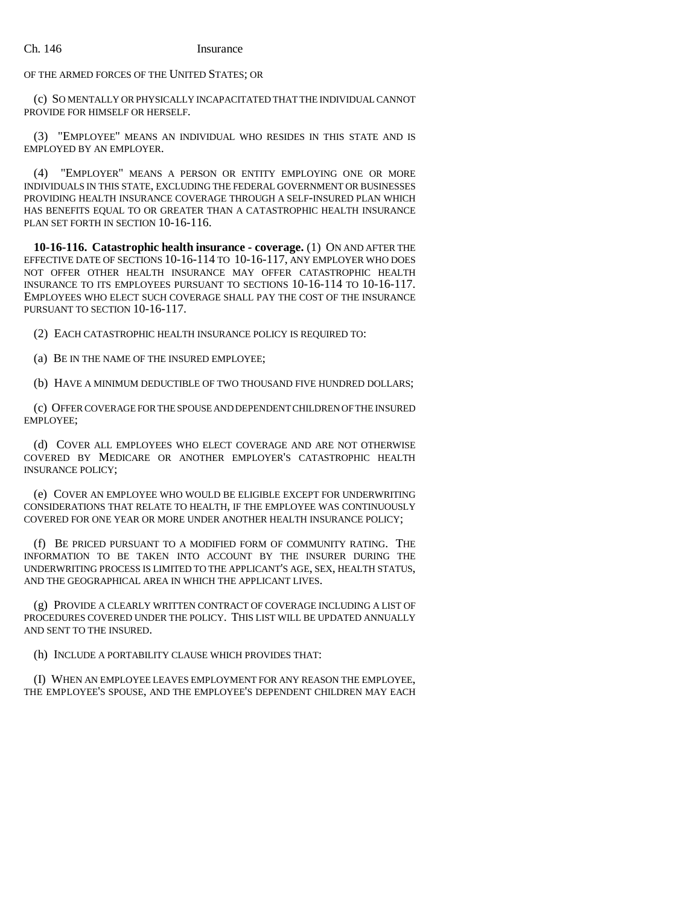OF THE ARMED FORCES OF THE UNITED STATES; OR

(c) SO MENTALLY OR PHYSICALLY INCAPACITATED THAT THE INDIVIDUAL CANNOT PROVIDE FOR HIMSELF OR HERSELF.

(3) "EMPLOYEE" MEANS AN INDIVIDUAL WHO RESIDES IN THIS STATE AND IS EMPLOYED BY AN EMPLOYER.

(4) "EMPLOYER" MEANS A PERSON OR ENTITY EMPLOYING ONE OR MORE INDIVIDUALS IN THIS STATE, EXCLUDING THE FEDERAL GOVERNMENT OR BUSINESSES PROVIDING HEALTH INSURANCE COVERAGE THROUGH A SELF-INSURED PLAN WHICH HAS BENEFITS EQUAL TO OR GREATER THAN A CATASTROPHIC HEALTH INSURANCE PLAN SET FORTH IN SECTION 10-16-116.

**10-16-116. Catastrophic health insurance - coverage.** (1) ON AND AFTER THE EFFECTIVE DATE OF SECTIONS 10-16-114 TO 10-16-117, ANY EMPLOYER WHO DOES NOT OFFER OTHER HEALTH INSURANCE MAY OFFER CATASTROPHIC HEALTH INSURANCE TO ITS EMPLOYEES PURSUANT TO SECTIONS 10-16-114 TO 10-16-117. EMPLOYEES WHO ELECT SUCH COVERAGE SHALL PAY THE COST OF THE INSURANCE PURSUANT TO SECTION 10-16-117.

(2) EACH CATASTROPHIC HEALTH INSURANCE POLICY IS REQUIRED TO:

(a) BE IN THE NAME OF THE INSURED EMPLOYEE;

(b) HAVE A MINIMUM DEDUCTIBLE OF TWO THOUSAND FIVE HUNDRED DOLLARS;

(c) OFFER COVERAGE FOR THE SPOUSE AND DEPENDENT CHILDREN OF THE INSURED EMPLOYEE;

(d) COVER ALL EMPLOYEES WHO ELECT COVERAGE AND ARE NOT OTHERWISE COVERED BY MEDICARE OR ANOTHER EMPLOYER'S CATASTROPHIC HEALTH INSURANCE POLICY;

(e) COVER AN EMPLOYEE WHO WOULD BE ELIGIBLE EXCEPT FOR UNDERWRITING CONSIDERATIONS THAT RELATE TO HEALTH, IF THE EMPLOYEE WAS CONTINUOUSLY COVERED FOR ONE YEAR OR MORE UNDER ANOTHER HEALTH INSURANCE POLICY;

(f) BE PRICED PURSUANT TO A MODIFIED FORM OF COMMUNITY RATING. THE INFORMATION TO BE TAKEN INTO ACCOUNT BY THE INSURER DURING THE UNDERWRITING PROCESS IS LIMITED TO THE APPLICANT'S AGE, SEX, HEALTH STATUS, AND THE GEOGRAPHICAL AREA IN WHICH THE APPLICANT LIVES.

(g) PROVIDE A CLEARLY WRITTEN CONTRACT OF COVERAGE INCLUDING A LIST OF PROCEDURES COVERED UNDER THE POLICY. THIS LIST WILL BE UPDATED ANNUALLY AND SENT TO THE INSURED.

(h) INCLUDE A PORTABILITY CLAUSE WHICH PROVIDES THAT:

(I) WHEN AN EMPLOYEE LEAVES EMPLOYMENT FOR ANY REASON THE EMPLOYEE, THE EMPLOYEE'S SPOUSE, AND THE EMPLOYEE'S DEPENDENT CHILDREN MAY EACH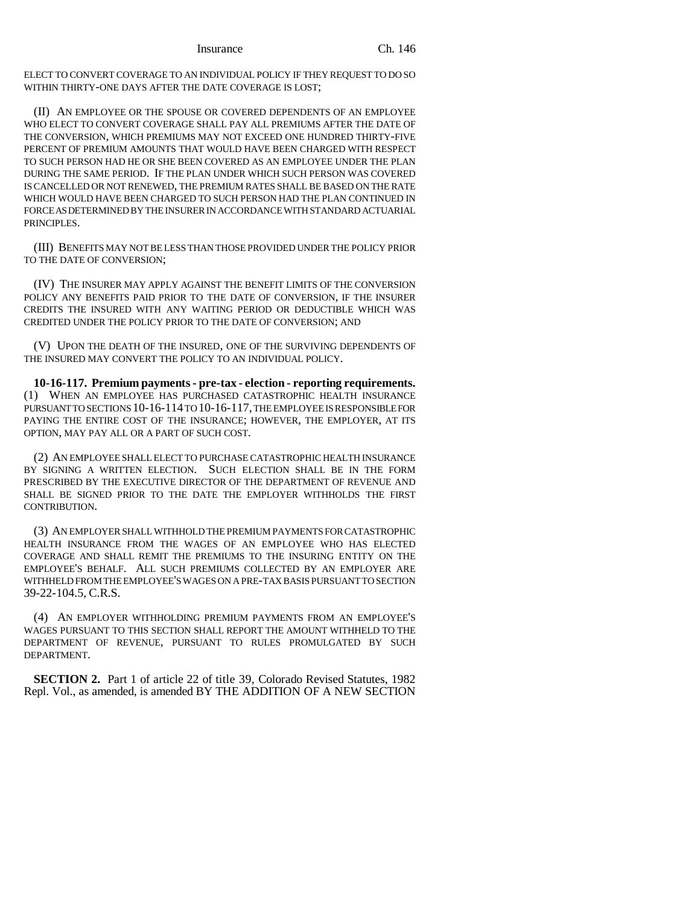Insurance Ch. 146

ELECT TO CONVERT COVERAGE TO AN INDIVIDUAL POLICY IF THEY REQUEST TO DO SO WITHIN THIRTY-ONE DAYS AFTER THE DATE COVERAGE IS LOST;

(II) AN EMPLOYEE OR THE SPOUSE OR COVERED DEPENDENTS OF AN EMPLOYEE WHO ELECT TO CONVERT COVERAGE SHALL PAY ALL PREMIUMS AFTER THE DATE OF THE CONVERSION, WHICH PREMIUMS MAY NOT EXCEED ONE HUNDRED THIRTY-FIVE PERCENT OF PREMIUM AMOUNTS THAT WOULD HAVE BEEN CHARGED WITH RESPECT TO SUCH PERSON HAD HE OR SHE BEEN COVERED AS AN EMPLOYEE UNDER THE PLAN DURING THE SAME PERIOD. IF THE PLAN UNDER WHICH SUCH PERSON WAS COVERED IS CANCELLED OR NOT RENEWED, THE PREMIUM RATES SHALL BE BASED ON THE RATE WHICH WOULD HAVE BEEN CHARGED TO SUCH PERSON HAD THE PLAN CONTINUED IN FORCE AS DETERMINED BY THE INSURER IN ACCORDANCE WITH STANDARD ACTUARIAL PRINCIPLES.

(III) BENEFITS MAY NOT BE LESS THAN THOSE PROVIDED UNDER THE POLICY PRIOR TO THE DATE OF CONVERSION;

(IV) THE INSURER MAY APPLY AGAINST THE BENEFIT LIMITS OF THE CONVERSION POLICY ANY BENEFITS PAID PRIOR TO THE DATE OF CONVERSION, IF THE INSURER CREDITS THE INSURED WITH ANY WAITING PERIOD OR DEDUCTIBLE WHICH WAS CREDITED UNDER THE POLICY PRIOR TO THE DATE OF CONVERSION; AND

(V) UPON THE DEATH OF THE INSURED, ONE OF THE SURVIVING DEPENDENTS OF THE INSURED MAY CONVERT THE POLICY TO AN INDIVIDUAL POLICY.

**10-16-117. Premium payments - pre-tax - election - reporting requirements.** (1) WHEN AN EMPLOYEE HAS PURCHASED CATASTROPHIC HEALTH INSURANCE PURSUANT TO SECTIONS 10-16-114 TO 10-16-117, THE EMPLOYEE IS RESPONSIBLE FOR PAYING THE ENTIRE COST OF THE INSURANCE; HOWEVER, THE EMPLOYER, AT ITS OPTION, MAY PAY ALL OR A PART OF SUCH COST.

(2) AN EMPLOYEE SHALL ELECT TO PURCHASE CATASTROPHIC HEALTH INSURANCE BY SIGNING A WRITTEN ELECTION. SUCH ELECTION SHALL BE IN THE FORM PRESCRIBED BY THE EXECUTIVE DIRECTOR OF THE DEPARTMENT OF REVENUE AND SHALL BE SIGNED PRIOR TO THE DATE THE EMPLOYER WITHHOLDS THE FIRST CONTRIBUTION.

(3) AN EMPLOYER SHALL WITHHOLD THE PREMIUM PAYMENTS FOR CATASTROPHIC HEALTH INSURANCE FROM THE WAGES OF AN EMPLOYEE WHO HAS ELECTED COVERAGE AND SHALL REMIT THE PREMIUMS TO THE INSURING ENTITY ON THE EMPLOYEE'S BEHALF. ALL SUCH PREMIUMS COLLECTED BY AN EMPLOYER ARE WITHHELD FROM THE EMPLOYEE'S WAGES ON A PRE-TAX BASIS PURSUANT TO SECTION 39-22-104.5, C.R.S.

(4) AN EMPLOYER WITHHOLDING PREMIUM PAYMENTS FROM AN EMPLOYEE'S WAGES PURSUANT TO THIS SECTION SHALL REPORT THE AMOUNT WITHHELD TO THE DEPARTMENT OF REVENUE, PURSUANT TO RULES PROMULGATED BY SUCH DEPARTMENT.

**SECTION 2.** Part 1 of article 22 of title 39, Colorado Revised Statutes, 1982 Repl. Vol., as amended, is amended BY THE ADDITION OF A NEW SECTION